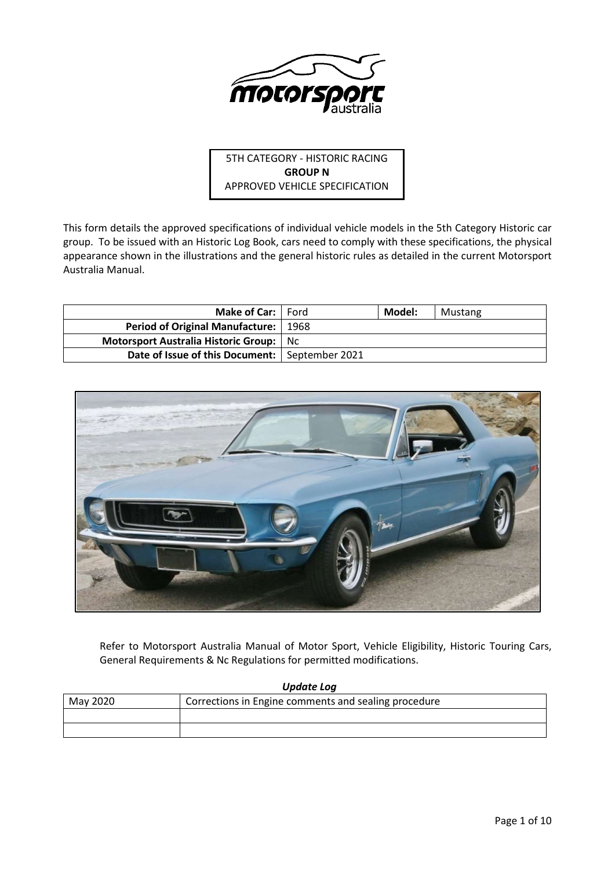

5TH CATEGORY - HISTORIC RACING **GROUP N** APPROVED VEHICLE SPECIFICATION

This form details the approved specifications of individual vehicle models in the 5th Category Historic car group. To be issued with an Historic Log Book, cars need to comply with these specifications, the physical appearance shown in the illustrations and the general historic rules as detailed in the current Motorsport Australia Manual.

| <b>Make of Car:</b> Ford                         |      | Model: | Mustang |
|--------------------------------------------------|------|--------|---------|
| <b>Period of Original Manufacture:</b>           | 1968 |        |         |
| <b>Motorsport Australia Historic Group:</b> Nc   |      |        |         |
| Date of Issue of this Document:   September 2021 |      |        |         |



Refer to Motorsport Australia Manual of Motor Sport, Vehicle Eligibility, Historic Touring Cars, General Requirements & Nc Regulations for permitted modifications.

| Update Log |                                                      |  |  |  |
|------------|------------------------------------------------------|--|--|--|
| May 2020   | Corrections in Engine comments and sealing procedure |  |  |  |
|            |                                                      |  |  |  |
|            |                                                      |  |  |  |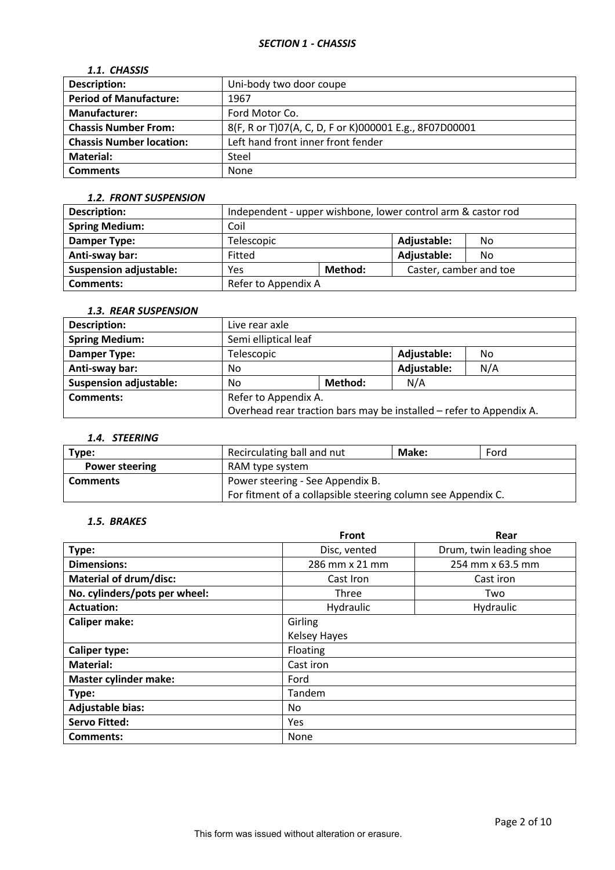# *SECTION 1 - CHASSIS*

# *1.1. CHASSIS*

| <b>Description:</b>             | Uni-body two door coupe                                |
|---------------------------------|--------------------------------------------------------|
| <b>Period of Manufacture:</b>   | 1967                                                   |
| <b>Manufacturer:</b>            | Ford Motor Co.                                         |
| <b>Chassis Number From:</b>     | 8(F, R or T)07(A, C, D, F or K)000001 E.g., 8F07D00001 |
| <b>Chassis Number location:</b> | Left hand front inner front fender                     |
| Material:                       | Steel                                                  |
| <b>Comments</b>                 | None                                                   |

#### *1.2. FRONT SUSPENSION*

| <b>Description:</b>           | Independent - upper wishbone, lower control arm & castor rod |  |                        |     |
|-------------------------------|--------------------------------------------------------------|--|------------------------|-----|
| <b>Spring Medium:</b>         | Coil                                                         |  |                        |     |
| Damper Type:                  | Telescopic                                                   |  | Adjustable:            | No. |
| Anti-sway bar:                | Fitted                                                       |  | Adjustable:            | No. |
| <b>Suspension adjustable:</b> | Method:<br>Yes                                               |  | Caster, camber and toe |     |
| Comments:                     | Refer to Appendix A                                          |  |                        |     |

# *1.3. REAR SUSPENSION*

| <b>Description:</b>           | Live rear axle                                                      |                    |             |     |
|-------------------------------|---------------------------------------------------------------------|--------------------|-------------|-----|
| <b>Spring Medium:</b>         | Semi elliptical leaf                                                |                    |             |     |
| <b>Damper Type:</b>           | Telescopic                                                          | Adjustable:<br>No. |             |     |
| Anti-sway bar:                | No                                                                  |                    | Adjustable: | N/A |
| <b>Suspension adjustable:</b> | No                                                                  | Method:            | N/A         |     |
| <b>Comments:</b>              | Refer to Appendix A.                                                |                    |             |     |
|                               | Overhead rear traction bars may be installed - refer to Appendix A. |                    |             |     |

# *1.4. STEERING*

| Type:                 | Recirculating ball and nut                                   | Make: | Ford |
|-----------------------|--------------------------------------------------------------|-------|------|
| <b>Power steering</b> | RAM type system                                              |       |      |
| <b>Comments</b>       | Power steering - See Appendix B.                             |       |      |
|                       | For fitment of a collapsible steering column see Appendix C. |       |      |

# *1.5. BRAKES*

|                               | <b>Front</b>        | Rear                    |  |
|-------------------------------|---------------------|-------------------------|--|
| Type:                         | Disc, vented        | Drum, twin leading shoe |  |
| <b>Dimensions:</b>            | 286 mm x 21 mm      | 254 mm x 63.5 mm        |  |
| <b>Material of drum/disc:</b> | Cast Iron           | Cast iron               |  |
| No. cylinders/pots per wheel: | Three               | Two                     |  |
| <b>Actuation:</b>             | Hydraulic           | Hydraulic               |  |
| <b>Caliper make:</b>          | Girling             |                         |  |
|                               | <b>Kelsey Hayes</b> |                         |  |
| <b>Caliper type:</b>          | Floating            |                         |  |
| <b>Material:</b>              | Cast iron           |                         |  |
| <b>Master cylinder make:</b>  | Ford                |                         |  |
| Type:                         | Tandem              |                         |  |
| <b>Adjustable bias:</b>       | No.                 |                         |  |
| <b>Servo Fitted:</b>          | Yes                 |                         |  |
| Comments:                     | <b>None</b>         |                         |  |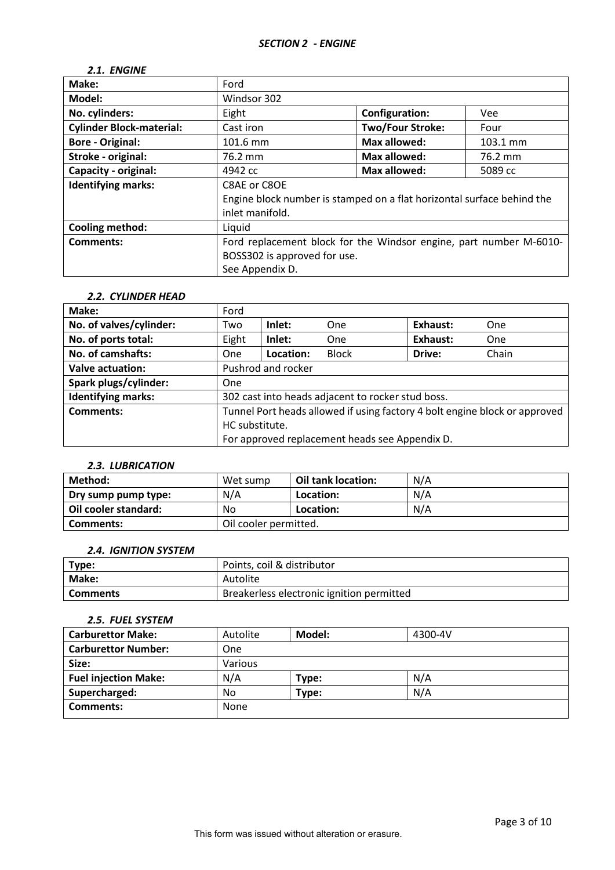# *2.1. ENGINE*

| Make:                           | Ford                                                                   |                         |            |
|---------------------------------|------------------------------------------------------------------------|-------------------------|------------|
| Model:                          | Windsor 302                                                            |                         |            |
| No. cylinders:                  | Eight                                                                  | <b>Configuration:</b>   | <b>Vee</b> |
| <b>Cylinder Block-material:</b> | Cast iron                                                              | <b>Two/Four Stroke:</b> | Four       |
| <b>Bore - Original:</b>         | 101.6 mm                                                               | <b>Max allowed:</b>     | 103.1 mm   |
| Stroke - original:              | 76.2 mm                                                                | <b>Max allowed:</b>     | 76.2 mm    |
| Capacity - original:            | 4942 cc                                                                | Max allowed:            | 5089 cc    |
| <b>Identifying marks:</b>       | C8AE or C8OE                                                           |                         |            |
|                                 | Engine block number is stamped on a flat horizontal surface behind the |                         |            |
|                                 | inlet manifold.                                                        |                         |            |
| <b>Cooling method:</b>          | Liquid                                                                 |                         |            |
| <b>Comments:</b>                | Ford replacement block for the Windsor engine, part number M-6010-     |                         |            |
|                                 | BOSS302 is approved for use.                                           |                         |            |
|                                 | See Appendix D.                                                        |                         |            |

#### *2.2. CYLINDER HEAD*

| Make:                     | Ford                                                                       |           |              |          |       |
|---------------------------|----------------------------------------------------------------------------|-----------|--------------|----------|-------|
| No. of valves/cylinder:   | Two                                                                        | Inlet:    | One          | Exhaust: | One   |
| No. of ports total:       | Eight                                                                      | Inlet:    | One          | Exhaust: | One   |
| No. of camshafts:         | <b>One</b>                                                                 | Location: | <b>Block</b> | Drive:   | Chain |
| <b>Valve actuation:</b>   | Pushrod and rocker                                                         |           |              |          |       |
| Spark plugs/cylinder:     | <b>One</b>                                                                 |           |              |          |       |
| <b>Identifying marks:</b> | 302 cast into heads adjacent to rocker stud boss.                          |           |              |          |       |
| Comments:                 | Tunnel Port heads allowed if using factory 4 bolt engine block or approved |           |              |          |       |
|                           | HC substitute.                                                             |           |              |          |       |
|                           | For approved replacement heads see Appendix D.                             |           |              |          |       |

## *2.3. LUBRICATION*

| Method:              | Wet sump              | Oil tank location: | N/A |
|----------------------|-----------------------|--------------------|-----|
| Dry sump pump type:  | N/A                   | Location:          | N/A |
| Oil cooler standard: | No                    | Location:          | N/A |
| Comments:            | Oil cooler permitted. |                    |     |

# *2.4. IGNITION SYSTEM*

| Type:        | Points, coil & distributor                |
|--------------|-------------------------------------------|
| <b>Make:</b> | Autolite                                  |
| Comments     | Breakerless electronic ignition permitted |

# *2.5. FUEL SYSTEM*

| <b>Carburettor Make:</b>    | Autolite   | Model: | 4300-4V |
|-----------------------------|------------|--------|---------|
| <b>Carburettor Number:</b>  | <b>One</b> |        |         |
| Size:                       | Various    |        |         |
| <b>Fuel injection Make:</b> | N/A        | Type:  | N/A     |
| Supercharged:               | No         | Type:  | N/A     |
| Comments:                   | None       |        |         |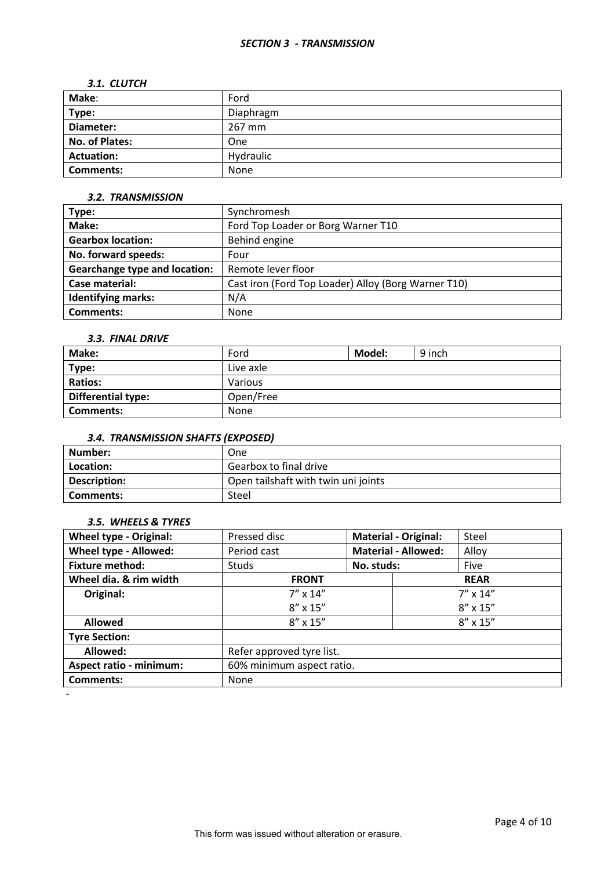#### *SECTION 3 - TRANSMISSION*

#### *3.1. CLUTCH*

| Make:                 | Ford       |
|-----------------------|------------|
| Type:                 | Diaphragm  |
| Diameter:             | 267 mm     |
| <b>No. of Plates:</b> | <b>One</b> |
| <b>Actuation:</b>     | Hydraulic  |
| <b>Comments:</b>      | None       |

#### *3.2. TRANSMISSION*

| Type:                                | Synchromesh                                         |  |  |
|--------------------------------------|-----------------------------------------------------|--|--|
| Make:                                | Ford Top Loader or Borg Warner T10                  |  |  |
| <b>Gearbox location:</b>             | Behind engine                                       |  |  |
| No. forward speeds:                  | Four                                                |  |  |
| <b>Gearchange type and location:</b> | Remote lever floor                                  |  |  |
| Case material:                       | Cast iron (Ford Top Loader) Alloy (Borg Warner T10) |  |  |
| <b>Identifying marks:</b>            | N/A                                                 |  |  |
| <b>Comments:</b>                     | None                                                |  |  |

#### *3.3. FINAL DRIVE*

| Make:                     | Ford      | Model: | 9 inch |
|---------------------------|-----------|--------|--------|
| Type:                     | Live axle |        |        |
| <b>Ratios:</b>            | Various   |        |        |
| <b>Differential type:</b> | Open/Free |        |        |
| Comments:                 | None      |        |        |

# *3.4. TRANSMISSION SHAFTS (EXPOSED)*

| Number:      | One                                 |
|--------------|-------------------------------------|
| Location:    | Gearbox to final drive              |
| Description: | Open tailshaft with twin uni joints |
| Comments:    | Steel                               |

#### *3.5. WHEELS & TYRES*

| <b>Wheel type - Original:</b>  | Pressed disc              | <b>Material - Original:</b> |  | Steel             |
|--------------------------------|---------------------------|-----------------------------|--|-------------------|
| Wheel type - Allowed:          | Period cast               | <b>Material - Allowed:</b>  |  | Alloy             |
| <b>Fixture method:</b>         | <b>Studs</b>              | No. studs:                  |  | Five              |
| Wheel dia. & rim width         | <b>FRONT</b>              |                             |  | <b>REAR</b>       |
| Original:                      | $7'' \times 14''$         |                             |  | $7'' \times 14''$ |
|                                | $8'' \times 15''$         |                             |  | $8'' \times 15''$ |
| <b>Allowed</b>                 | $8'' \times 15''$         |                             |  | $8'' \times 15''$ |
| <b>Tyre Section:</b>           |                           |                             |  |                   |
| Allowed:                       | Refer approved tyre list. |                             |  |                   |
| <b>Aspect ratio - minimum:</b> | 60% minimum aspect ratio. |                             |  |                   |
| <b>Comments:</b>               | None                      |                             |  |                   |
|                                |                           |                             |  |                   |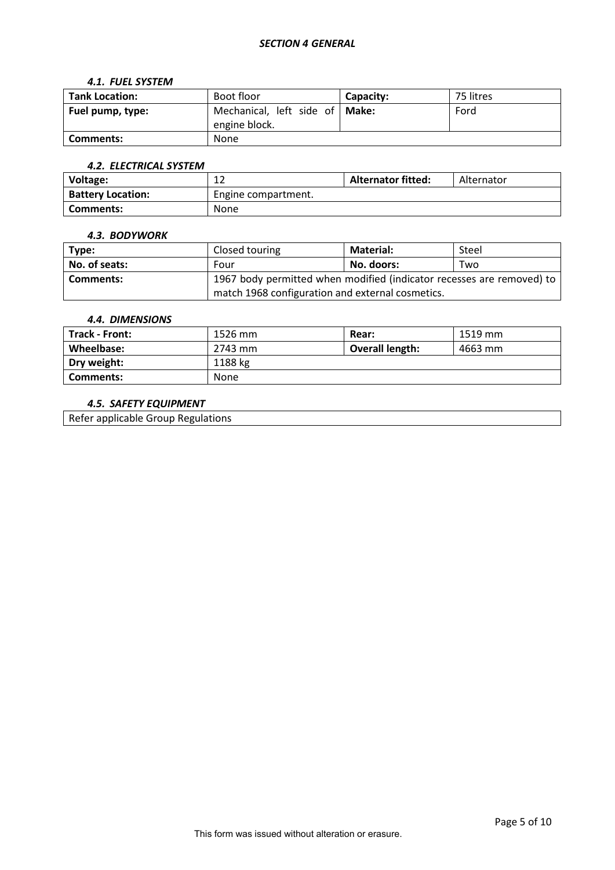#### *SECTION 4 GENERAL*

#### *4.1. FUEL SYSTEM*

| <b>Tank Location:</b> | Boot floor                                        | Capacity: | 75 litres |
|-----------------------|---------------------------------------------------|-----------|-----------|
| Fuel pump, type:      | Mechanical, left side of   Make:<br>engine block. |           | Ford      |
| Comments:             | <b>None</b>                                       |           |           |

## *4.2. ELECTRICAL SYSTEM*

| Voltage:                 | $\sim$<br>∸         | <b>Alternator fitted:</b> | Alternator |
|--------------------------|---------------------|---------------------------|------------|
| <b>Battery Location:</b> | Engine compartment. |                           |            |
| Comments:                | <b>None</b>         |                           |            |

## *4.3. BODYWORK*

| Type:            | Closed touring                                                        | <b>Material:</b> | Steel |
|------------------|-----------------------------------------------------------------------|------------------|-------|
| No. of seats:    | Four                                                                  | No. doors:       | Two   |
| <b>Comments:</b> | 1967 body permitted when modified (indicator recesses are removed) to |                  |       |
|                  | match 1968 configuration and external cosmetics.                      |                  |       |

#### *4.4. DIMENSIONS*

| Track - Front: | 1526 mm | Rear:                  | 1519 mm |
|----------------|---------|------------------------|---------|
| Wheelbase:     | 2743 mm | <b>Overall length:</b> | 4663 mm |
| Dry weight:    | 1188 kg |                        |         |
| Comments:      | None    |                        |         |

## *4.5. SAFETY EQUIPMENT*

Refer applicable Group Regulations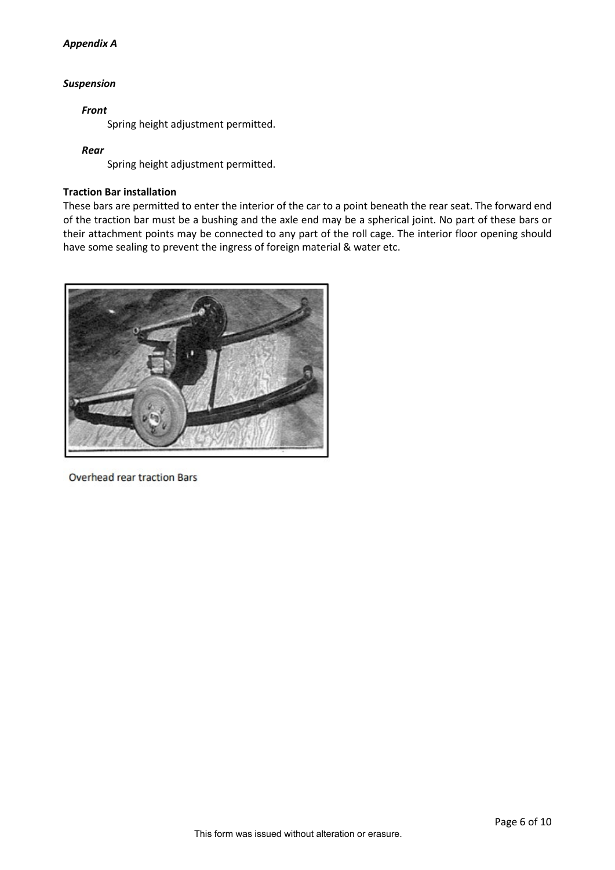## *Appendix A*

## *Suspension*

## *Front*

Spring height adjustment permitted.

## *Rear*

Spring height adjustment permitted.

## **Traction Bar installation**

These bars are permitted to enter the interior of the car to a point beneath the rear seat. The forward end of the traction bar must be a bushing and the axle end may be a spherical joint. No part of these bars or their attachment points may be connected to any part of the roll cage. The interior floor opening should have some sealing to prevent the ingress of foreign material & water etc.



**Overhead rear traction Bars**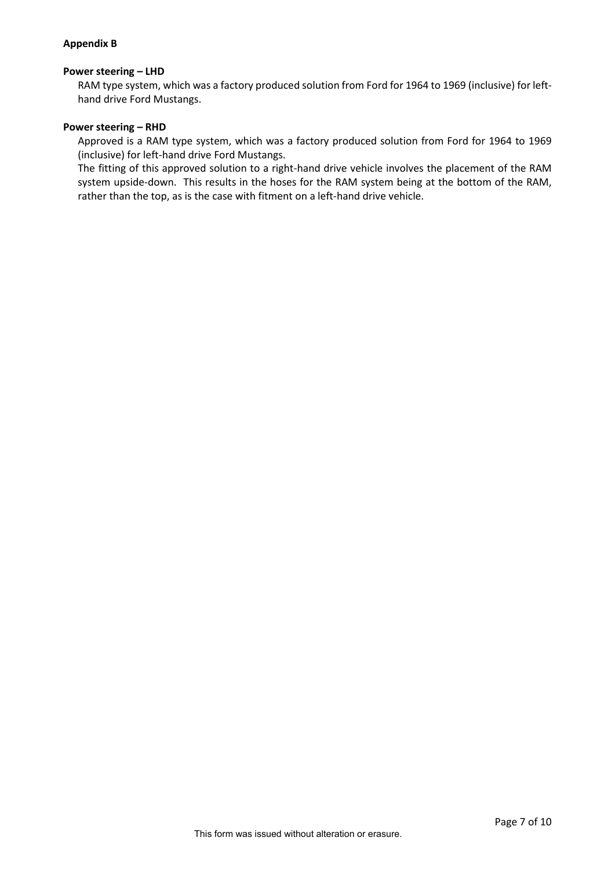### **Appendix B**

#### **Power steering – LHD**

RAM type system, which was a factory produced solution from Ford for 1964 to 1969 (inclusive) for lefthand drive Ford Mustangs.

#### **Power steering – RHD**

Approved is a RAM type system, which was a factory produced solution from Ford for 1964 to 1969 (inclusive) for left-hand drive Ford Mustangs.

The fitting of this approved solution to a right-hand drive vehicle involves the placement of the RAM system upside-down. This results in the hoses for the RAM system being at the bottom of the RAM, rather than the top, as is the case with fitment on a left-hand drive vehicle.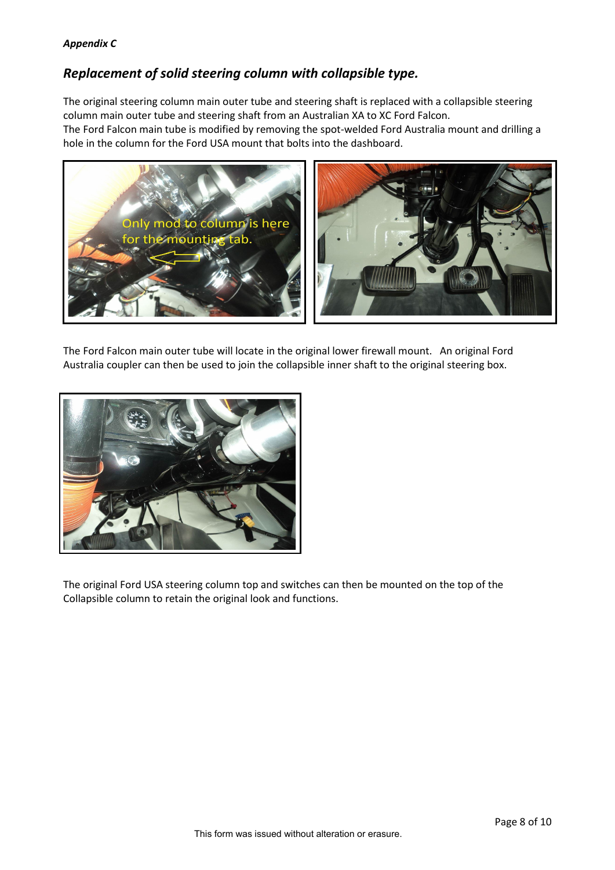# *Appendix C*

# *Replacement of solid steering column with collapsible type.*

The original steering column main outer tube and steering shaft is replaced with a collapsible steering column main outer tube and steering shaft from an Australian XA to XC Ford Falcon. The Ford Falcon main tube is modified by removing the spot-welded Ford Australia mount and drilling a hole in the column for the Ford USA mount that bolts into the dashboard.



The Ford Falcon main outer tube will locate in the original lower firewall mount. An original Ford Australia coupler can then be used to join the collapsible inner shaft to the original steering box.



The original Ford USA steering column top and switches can then be mounted on the top of the Collapsible column to retain the original look and functions.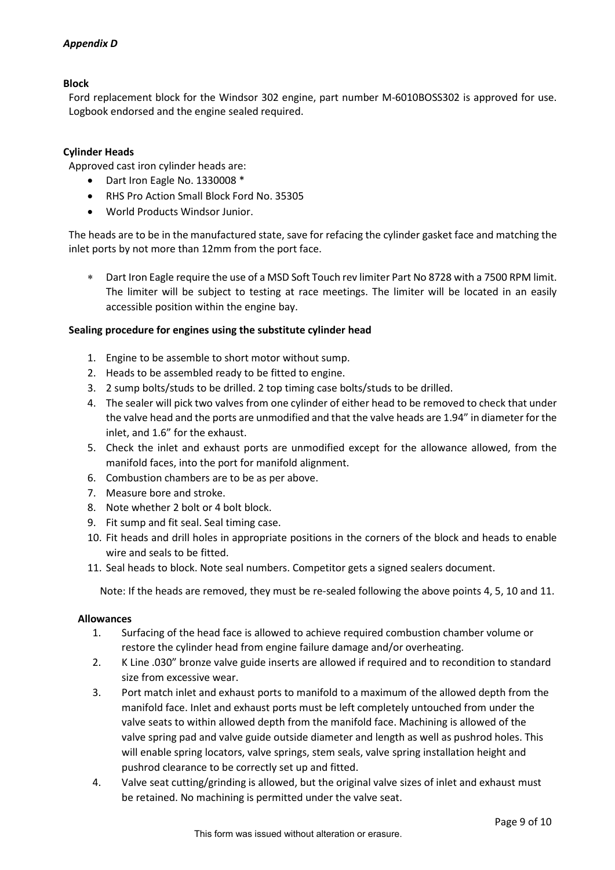# *Appendix D*

### **Block**

Ford replacement block for the Windsor 302 engine, part number M-6010BOSS302 is approved for use. Logbook endorsed and the engine sealed required.

## **Cylinder Heads**

Approved cast iron cylinder heads are:

- Dart Iron Eagle No. 1330008 \*
- RHS Pro Action Small Block Ford No. 35305
- World Products Windsor Junior.

The heads are to be in the manufactured state, save for refacing the cylinder gasket face and matching the inlet ports by not more than 12mm from the port face.

∗ Dart Iron Eagle require the use of a MSD Soft Touch rev limiter Part No 8728 with a 7500 RPM limit. The limiter will be subject to testing at race meetings. The limiter will be located in an easily accessible position within the engine bay.

#### **Sealing procedure for engines using the substitute cylinder head**

- 1. Engine to be assemble to short motor without sump.
- 2. Heads to be assembled ready to be fitted to engine.
- 3. 2 sump bolts/studs to be drilled. 2 top timing case bolts/studs to be drilled.
- 4. The sealer will pick two valves from one cylinder of either head to be removed to check that under the valve head and the ports are unmodified and that the valve heads are 1.94" in diameter for the inlet, and 1.6" for the exhaust.
- 5. Check the inlet and exhaust ports are unmodified except for the allowance allowed, from the manifold faces, into the port for manifold alignment.
- 6. Combustion chambers are to be as per above.
- 7. Measure bore and stroke.
- 8. Note whether 2 bolt or 4 bolt block.
- 9. Fit sump and fit seal. Seal timing case.
- 10. Fit heads and drill holes in appropriate positions in the corners of the block and heads to enable wire and seals to be fitted.
- 11. Seal heads to block. Note seal numbers. Competitor gets a signed sealers document.

Note: If the heads are removed, they must be re-sealed following the above points 4, 5, 10 and 11.

#### **Allowances**

- 1. Surfacing of the head face is allowed to achieve required combustion chamber volume or restore the cylinder head from engine failure damage and/or overheating.
- 2. K Line .030" bronze valve guide inserts are allowed if required and to recondition to standard size from excessive wear.
- 3. Port match inlet and exhaust ports to manifold to a maximum of the allowed depth from the manifold face. Inlet and exhaust ports must be left completely untouched from under the valve seats to within allowed depth from the manifold face. Machining is allowed of the valve spring pad and valve guide outside diameter and length as well as pushrod holes. This will enable spring locators, valve springs, stem seals, valve spring installation height and pushrod clearance to be correctly set up and fitted.
- 4. Valve seat cutting/grinding is allowed, but the original valve sizes of inlet and exhaust must be retained. No machining is permitted under the valve seat.